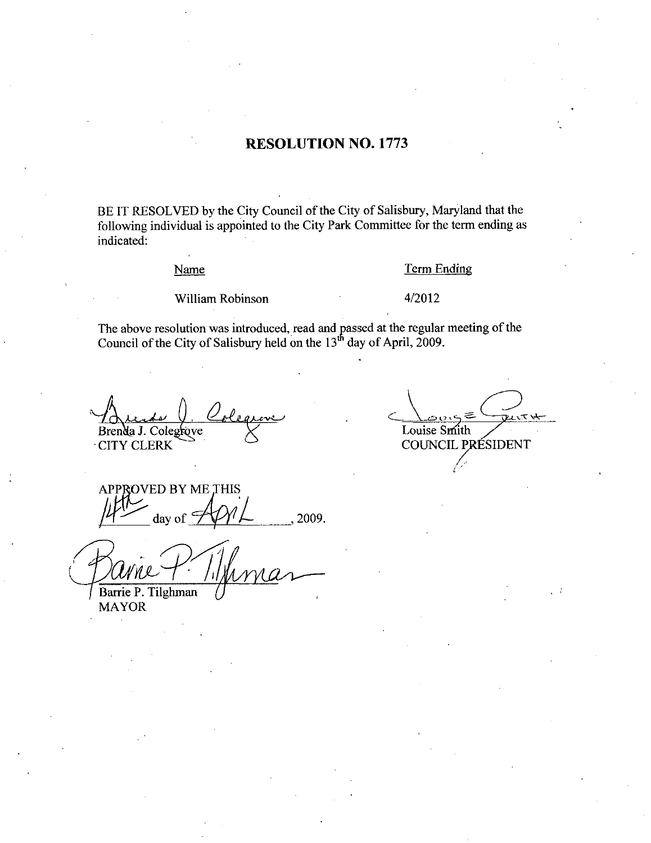## **RESOLUTION NO. 1773**

BE IT RESOLVED by the City Council of the City of Salisbury, Maryland that the following individual is appointed to the City Park Committee for the term ending as indicated:

### Name

### **Term Ending**

William Robinson

## 4/2012

The above resolution was introduced, read and passed at the regular meeting of the Council of the City of Salisbury held on the  $13<sup>th</sup>$  day of April, 2009.

Brenda J. Colegrove **CITY CLERK** 

Louise Smith COUNCIL PRÉSIDENT

**APPROVED BY ME THIS** day of 2009.

Barrie P. Tilghman

**MAYOR**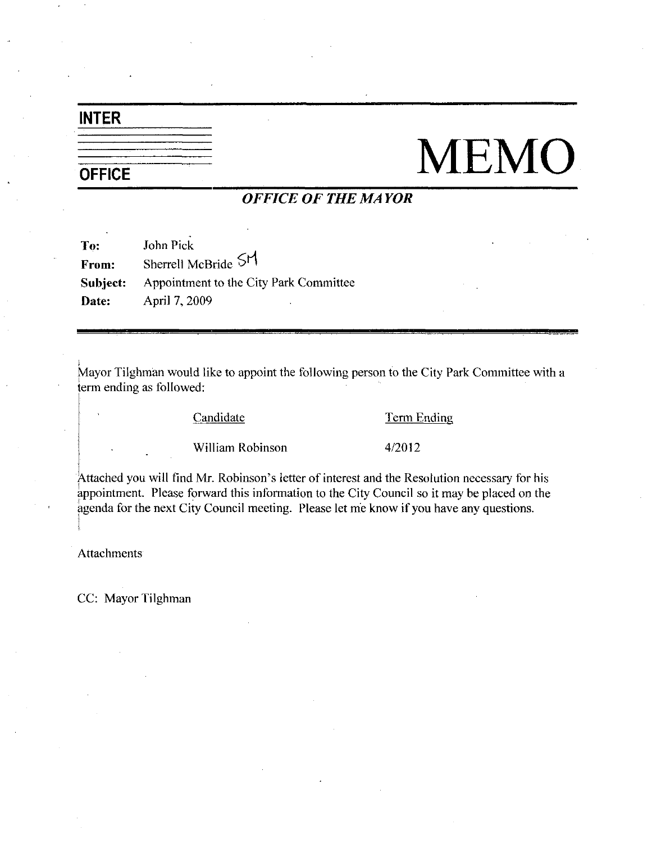# INTER

# **OFFICE**

# **MEMO**

# OFFICE OF THE MAYOR

| To:      | John Pick                              |
|----------|----------------------------------------|
| From:    | Sherrell McBride SM                    |
| Subject: | Appointment to the City Park Committee |
| Date:    | April 7, 2009<br>٠                     |

Mayor Tilghman would like to appoint the following person to the City Park Committee with a term ending as followed:

Candidate Term Ending

Example 1<br>
<u>Term E</u><br>
William Robinson 4/2012

William Robinson 4/2012<br>Attached you will find Mr. Robinson's letter of interest and the Resolution necessary for his appointment. Please forward this information to the City Council so it may be placed on the agenda for the next City Council meeting. Please let me know if you have any questions.

Attachments

CC: Mayor Tilghman